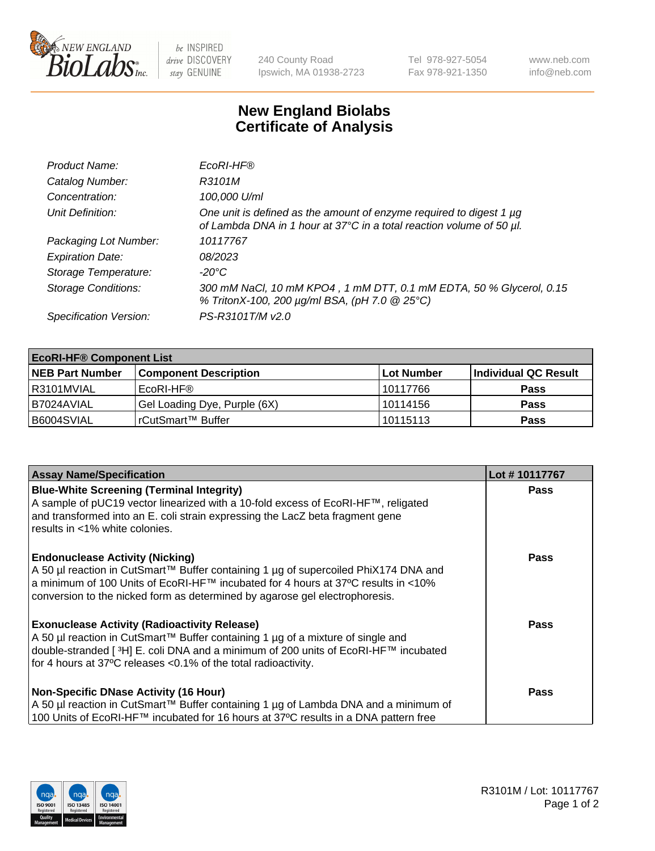

 $be$  INSPIRED drive DISCOVERY stay GENUINE

240 County Road Ipswich, MA 01938-2723 Tel 978-927-5054 Fax 978-921-1350 www.neb.com info@neb.com

## **New England Biolabs Certificate of Analysis**

| Product Name:              | EcoRI-HF®                                                                                                                                   |
|----------------------------|---------------------------------------------------------------------------------------------------------------------------------------------|
| Catalog Number:            | R3101M                                                                                                                                      |
| Concentration:             | 100,000 U/ml                                                                                                                                |
| Unit Definition:           | One unit is defined as the amount of enzyme required to digest 1 µg<br>of Lambda DNA in 1 hour at 37°C in a total reaction volume of 50 µl. |
| Packaging Lot Number:      | 10117767                                                                                                                                    |
| <b>Expiration Date:</b>    | 08/2023                                                                                                                                     |
| Storage Temperature:       | $-20^{\circ}$ C                                                                                                                             |
| <b>Storage Conditions:</b> | 300 mM NaCl, 10 mM KPO4, 1 mM DTT, 0.1 mM EDTA, 50 % Glycerol, 0.15<br>% TritonX-100, 200 µg/ml BSA, (pH 7.0 @ 25°C)                        |
| Specification Version:     | PS-R3101T/M v2.0                                                                                                                            |

| <b>EcoRI-HF® Component List</b> |                              |                   |                      |  |  |
|---------------------------------|------------------------------|-------------------|----------------------|--|--|
| <b>NEB Part Number</b>          | <b>Component Description</b> | <b>Lot Number</b> | Individual QC Result |  |  |
| I R3101MVIAL                    | EcoRI-HF®                    | 10117766          | <b>Pass</b>          |  |  |
| B7024AVIAL                      | Gel Loading Dye, Purple (6X) | 10114156          | <b>Pass</b>          |  |  |
| B6004SVIAL                      | l rCutSmart™ Buffer          | 10115113          | <b>Pass</b>          |  |  |

| <b>Assay Name/Specification</b>                                                                                                                                                                                                                                                                                                         | Lot #10117767 |
|-----------------------------------------------------------------------------------------------------------------------------------------------------------------------------------------------------------------------------------------------------------------------------------------------------------------------------------------|---------------|
| <b>Blue-White Screening (Terminal Integrity)</b><br>A sample of pUC19 vector linearized with a 10-fold excess of EcoRI-HF™, religated<br>and transformed into an E. coli strain expressing the LacZ beta fragment gene                                                                                                                  | <b>Pass</b>   |
| results in <1% white colonies.<br><b>Endonuclease Activity (Nicking)</b><br>  A 50 µl reaction in CutSmart™ Buffer containing 1 µg of supercoiled PhiX174 DNA and<br>  a minimum of 100 Units of EcoRI-HF™ incubated for 4 hours at 37°C results in <10%<br>conversion to the nicked form as determined by agarose gel electrophoresis. | <b>Pass</b>   |
| <b>Exonuclease Activity (Radioactivity Release)</b><br>  A 50 µl reaction in CutSmart™ Buffer containing 1 µg of a mixture of single and<br>double-stranded [ <sup>3</sup> H] E. coli DNA and a minimum of 200 units of EcoRI-HF™ incubated<br>for 4 hours at 37°C releases <0.1% of the total radioactivity.                           | Pass          |
| <b>Non-Specific DNase Activity (16 Hour)</b><br>A 50 µl reaction in CutSmart™ Buffer containing 1 µg of Lambda DNA and a minimum of<br>100 Units of EcoRI-HF™ incubated for 16 hours at 37°C results in a DNA pattern free                                                                                                              | <b>Pass</b>   |